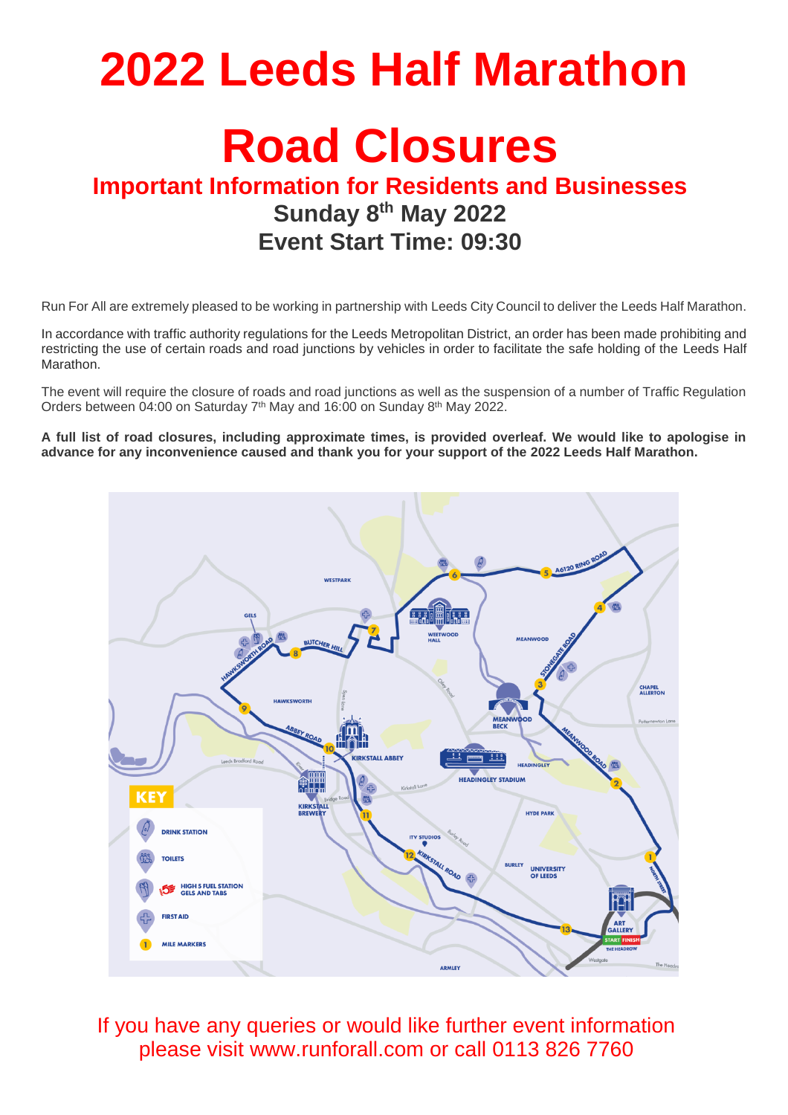## **2022 Leeds Half Marathon**

## **Road Closures**

## **Important Information for Residents and Businesses Sunday 8 th May 2022 Event Start Time: 09:30**

Run For All are extremely pleased to be working in partnership with Leeds City Council to deliver the Leeds Half Marathon.

In accordance with traffic authority regulations for the Leeds Metropolitan District, an order has been made prohibiting and restricting the use of certain roads and road junctions by vehicles in order to facilitate the safe holding of the Leeds Half Marathon.

The event will require the closure of roads and road junctions as well as the suspension of a number of Traffic Regulation Orders between 04:00 on Saturday 7<sup>th</sup> May and 16:00 on Sunday 8<sup>th</sup> May 2022.

**A full list of road closures, including approximate times, is provided overleaf. We would like to apologise in advance for any inconvenience caused and thank you for your support of the 2022 Leeds Half Marathon.**



If you have any queries or would like further event information please visit www.runforall.com or call 0113 826 7760